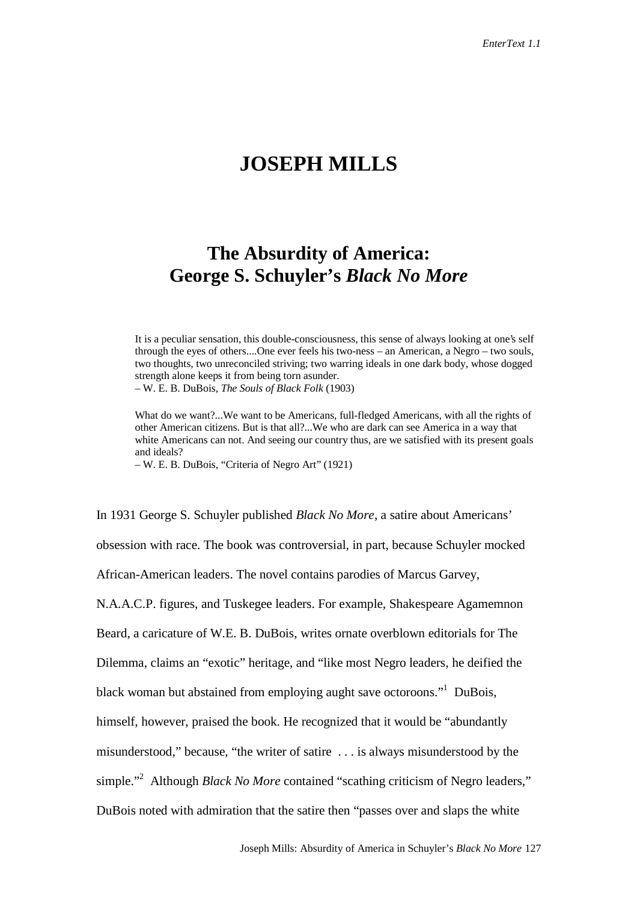## **JOSEPH MILLS**

## **The Absurdity of America: George S. Schuyler's** *Black No More*

It is a peculiar sensation, this double-consciousness, this sense of always looking at one's self through the eyes of others....One ever feels his two-ness – an American, a Negro – two souls, two thoughts, two unreconciled striving; two warring ideals in one dark body, whose dogged strength alone keeps it from being torn asunder.

– W. E. B. DuBois, *The Souls of Black Folk* (1903)

What do we want?...We want to be Americans, full-fledged Americans, with all the rights of other American citizens. But is that all?...We who are dark can see America in a way that white Americans can not. And seeing our country thus, are we satisfied with its present goals and ideals?

– W. E. B. DuBois, "Criteria of Negro Art" (1921)

In 1931 George S. Schuyler published *Black No More*, a satire about Americans' obsession with race. The book was controversial, in part, because Schuyler mocked African-American leaders. The novel contains parodies of Marcus Garvey, N.A.A.C.P. figures, and Tuskegee leaders. For example, Shakespeare Agamemnon Beard, a caricature of W.E. B. DuBois, writes ornate overblown editorials for The Dilemma, claims an "exotic" heritage, and "like most Negro leaders, he deified the black woman but abstained from employing aught save octoroons."<sup>1</sup> DuBois, himself, however, praised the book. He recognized that it would be "abundantly misunderstood," because, "the writer of satire . . . is always misunderstood by the simple."<sup>2</sup> Although *Black No More* contained "scathing criticism of Negro leaders," DuBois noted with admiration that the satire then "passes over and slaps the white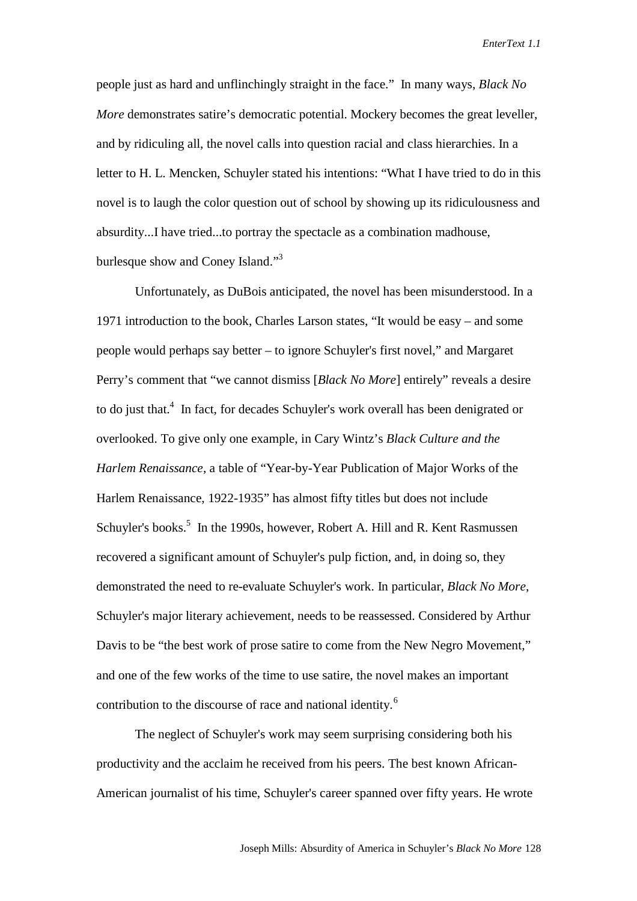people just as hard and unflinchingly straight in the face." In many ways, *Black No More* demonstrates satire's democratic potential. Mockery becomes the great leveller, and by ridiculing all, the novel calls into question racial and class hierarchies. In a letter to H. L. Mencken, Schuyler stated his intentions: "What I have tried to do in this novel is to laugh the color question out of school by showing up its ridiculousness and absurdity...I have tried...to portray the spectacle as a combination madhouse, burlesque show and Coney Island."<sup>3</sup>

Unfortunately, as DuBois anticipated, the novel has been misunderstood. In a 1971 introduction to the book, Charles Larson states, "It would be easy – and some people would perhaps say better – to ignore Schuyler's first novel," and Margaret Perry's comment that "we cannot dismiss [*Black No More*] entirely" reveals a desire to do just that.<sup>4</sup> In fact, for decades Schuyler's work overall has been denigrated or overlooked. To give only one example, in Cary Wintz's *Black Culture and the Harlem Renaissance*, a table of "Year-by-Year Publication of Major Works of the Harlem Renaissance, 1922-1935" has almost fifty titles but does not include Schuyler's books.<sup>5</sup> In the 1990s, however, Robert A. Hill and R. Kent Rasmussen recovered a significant amount of Schuyler's pulp fiction, and, in doing so, they demonstrated the need to re-evaluate Schuyler's work. In particular, *Black No More*, Schuyler's major literary achievement, needs to be reassessed. Considered by Arthur Davis to be "the best work of prose satire to come from the New Negro Movement," and one of the few works of the time to use satire, the novel makes an important contribution to the discourse of race and national identity.<sup>6</sup>

The neglect of Schuyler's work may seem surprising considering both his productivity and the acclaim he received from his peers. The best known African-American journalist of his time, Schuyler's career spanned over fifty years. He wrote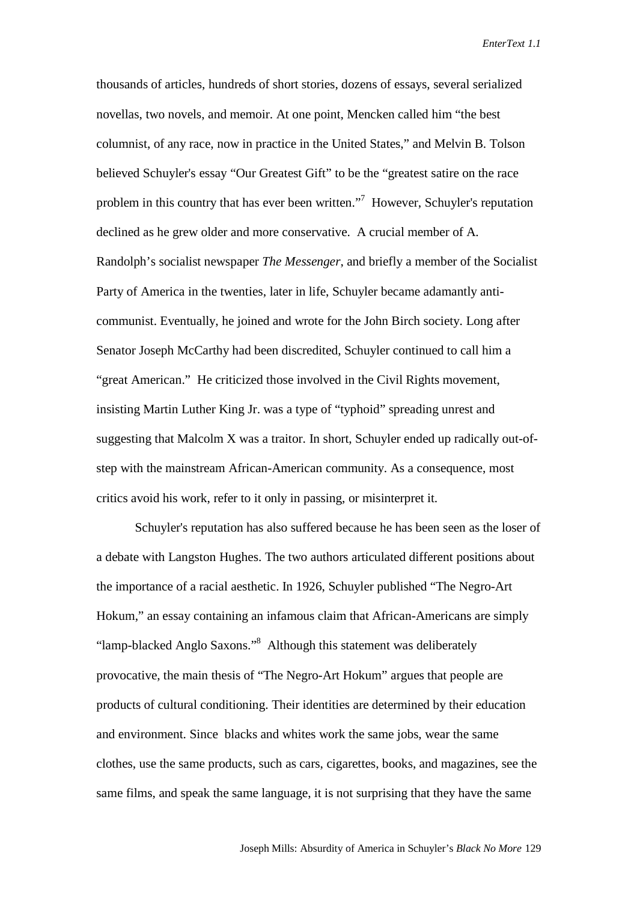thousands of articles, hundreds of short stories, dozens of essays, several serialized novellas, two novels, and memoir. At one point, Mencken called him "the best columnist, of any race, now in practice in the United States," and Melvin B. Tolson believed Schuyler's essay "Our Greatest Gift" to be the "greatest satire on the race problem in this country that has ever been written."<sup>7</sup> However, Schuyler's reputation declined as he grew older and more conservative. A crucial member of A. Randolph's socialist newspaper *The Messenger*, and briefly a member of the Socialist Party of America in the twenties, later in life, Schuyler became adamantly anticommunist. Eventually, he joined and wrote for the John Birch society. Long after Senator Joseph McCarthy had been discredited, Schuyler continued to call him a "great American." He criticized those involved in the Civil Rights movement, insisting Martin Luther King Jr. was a type of "typhoid" spreading unrest and suggesting that Malcolm X was a traitor. In short, Schuyler ended up radically out-ofstep with the mainstream African-American community. As a consequence, most critics avoid his work, refer to it only in passing, or misinterpret it.

Schuyler's reputation has also suffered because he has been seen as the loser of a debate with Langston Hughes. The two authors articulated different positions about the importance of a racial aesthetic. In 1926, Schuyler published "The Negro-Art Hokum," an essay containing an infamous claim that African-Americans are simply "lamp-blacked Anglo Saxons."<sup>8</sup> Although this statement was deliberately provocative, the main thesis of "The Negro-Art Hokum" argues that people are products of cultural conditioning. Their identities are determined by their education and environment. Since blacks and whites work the same jobs, wear the same clothes, use the same products, such as cars, cigarettes, books, and magazines, see the same films, and speak the same language, it is not surprising that they have the same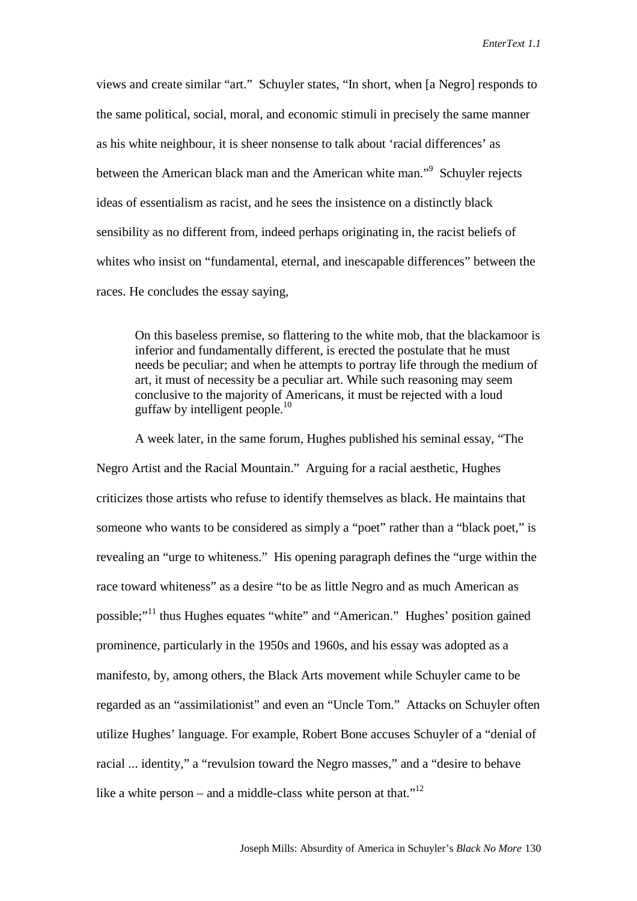views and create similar "art." Schuyler states, "In short, when [a Negro] responds to the same political, social, moral, and economic stimuli in precisely the same manner as his white neighbour, it is sheer nonsense to talk about 'racial differences' as between the American black man and the American white man."<sup>9</sup> Schuyler rejects ideas of essentialism as racist, and he sees the insistence on a distinctly black sensibility as no different from, indeed perhaps originating in, the racist beliefs of whites who insist on "fundamental, eternal, and inescapable differences" between the races. He concludes the essay saying,

On this baseless premise, so flattering to the white mob, that the blackamoor is inferior and fundamentally different, is erected the postulate that he must needs be peculiar; and when he attempts to portray life through the medium of art, it must of necessity be a peculiar art. While such reasoning may seem conclusive to the majority of Americans, it must be rejected with a loud guffaw by intelligent people. $10$ 

A week later, in the same forum, Hughes published his seminal essay, "The Negro Artist and the Racial Mountain." Arguing for a racial aesthetic, Hughes criticizes those artists who refuse to identify themselves as black. He maintains that someone who wants to be considered as simply a "poet" rather than a "black poet," is revealing an "urge to whiteness." His opening paragraph defines the "urge within the race toward whiteness" as a desire "to be as little Negro and as much American as possible;"11 thus Hughes equates "white" and "American." Hughes' position gained prominence, particularly in the 1950s and 1960s, and his essay was adopted as a manifesto, by, among others, the Black Arts movement while Schuyler came to be regarded as an "assimilationist" and even an "Uncle Tom." Attacks on Schuyler often utilize Hughes' language. For example, Robert Bone accuses Schuyler of a "denial of racial ... identity," a "revulsion toward the Negro masses," and a "desire to behave like a white person – and a middle-class white person at that."<sup>12</sup>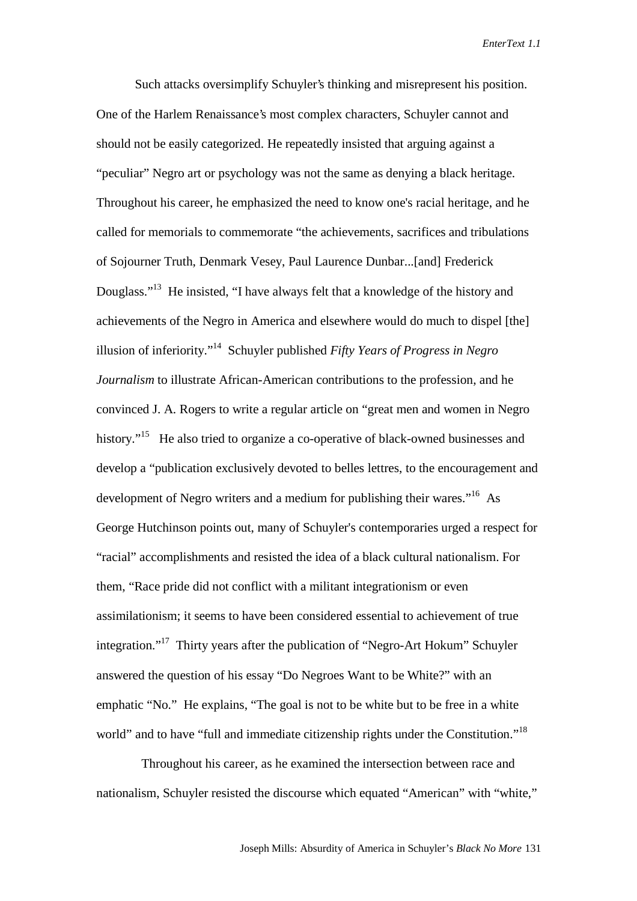Such attacks oversimplify Schuyler's thinking and misrepresent his position. One of the Harlem Renaissance's most complex characters, Schuyler cannot and should not be easily categorized. He repeatedly insisted that arguing against a "peculiar" Negro art or psychology was not the same as denying a black heritage. Throughout his career, he emphasized the need to know one's racial heritage, and he called for memorials to commemorate "the achievements, sacrifices and tribulations of Sojourner Truth, Denmark Vesey, Paul Laurence Dunbar...[and] Frederick Douglass."13 He insisted, "I have always felt that a knowledge of the history and achievements of the Negro in America and elsewhere would do much to dispel [the] illusion of inferiority."14 Schuyler published *Fifty Years of Progress in Negro Journalism* to illustrate African-American contributions to the profession, and he convinced J. A. Rogers to write a regular article on "great men and women in Negro history."<sup>15</sup> He also tried to organize a co-operative of black-owned businesses and develop a "publication exclusively devoted to belles lettres, to the encouragement and development of Negro writers and a medium for publishing their wares."<sup>16</sup> As George Hutchinson points out, many of Schuyler's contemporaries urged a respect for "racial" accomplishments and resisted the idea of a black cultural nationalism. For them, "Race pride did not conflict with a militant integrationism or even assimilationism; it seems to have been considered essential to achievement of true integration."<sup>17</sup> Thirty years after the publication of "Negro-Art Hokum" Schuyler answered the question of his essay "Do Negroes Want to be White?" with an emphatic "No." He explains, "The goal is not to be white but to be free in a white world" and to have "full and immediate citizenship rights under the Constitution."<sup>18</sup>

 Throughout his career, as he examined the intersection between race and nationalism, Schuyler resisted the discourse which equated "American" with "white,"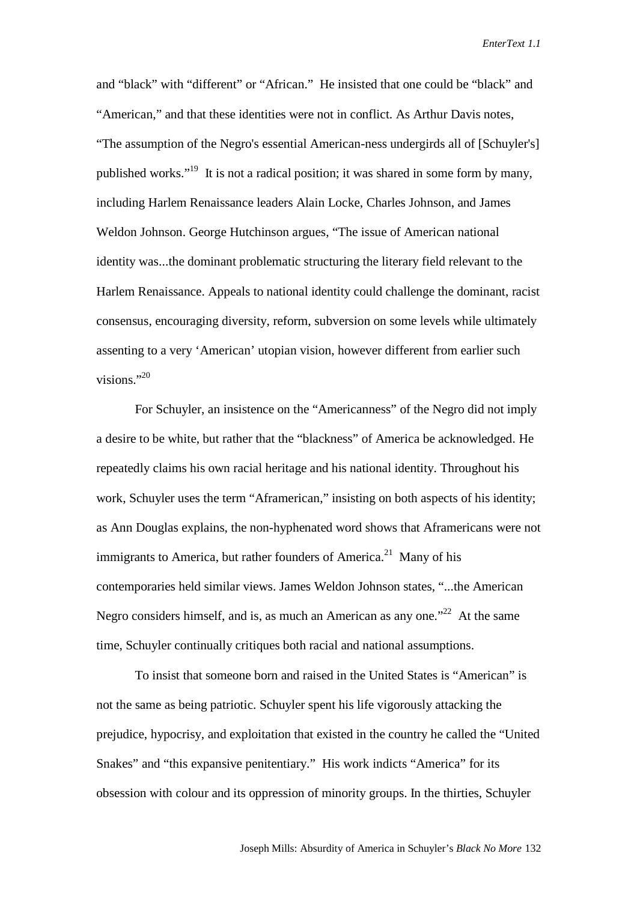and "black" with "different" or "African." He insisted that one could be "black" and "American," and that these identities were not in conflict. As Arthur Davis notes, "The assumption of the Negro's essential American-ness undergirds all of [Schuyler's] published works."19 It is not a radical position; it was shared in some form by many, including Harlem Renaissance leaders Alain Locke, Charles Johnson, and James Weldon Johnson. George Hutchinson argues, "The issue of American national identity was...the dominant problematic structuring the literary field relevant to the Harlem Renaissance. Appeals to national identity could challenge the dominant, racist consensus, encouraging diversity, reform, subversion on some levels while ultimately assenting to a very 'American' utopian vision, however different from earlier such visions." $^{20}$ 

For Schuyler, an insistence on the "Americanness" of the Negro did not imply a desire to be white, but rather that the "blackness" of America be acknowledged. He repeatedly claims his own racial heritage and his national identity. Throughout his work, Schuyler uses the term "Aframerican," insisting on both aspects of his identity; as Ann Douglas explains, the non-hyphenated word shows that Aframericans were not immigrants to America, but rather founders of America.<sup>21</sup> Many of his contemporaries held similar views. James Weldon Johnson states, "...the American Negro considers himself, and is, as much an American as any one. $12^2$  At the same time, Schuyler continually critiques both racial and national assumptions.

To insist that someone born and raised in the United States is "American" is not the same as being patriotic. Schuyler spent his life vigorously attacking the prejudice, hypocrisy, and exploitation that existed in the country he called the "United Snakes" and "this expansive penitentiary." His work indicts "America" for its obsession with colour and its oppression of minority groups. In the thirties, Schuyler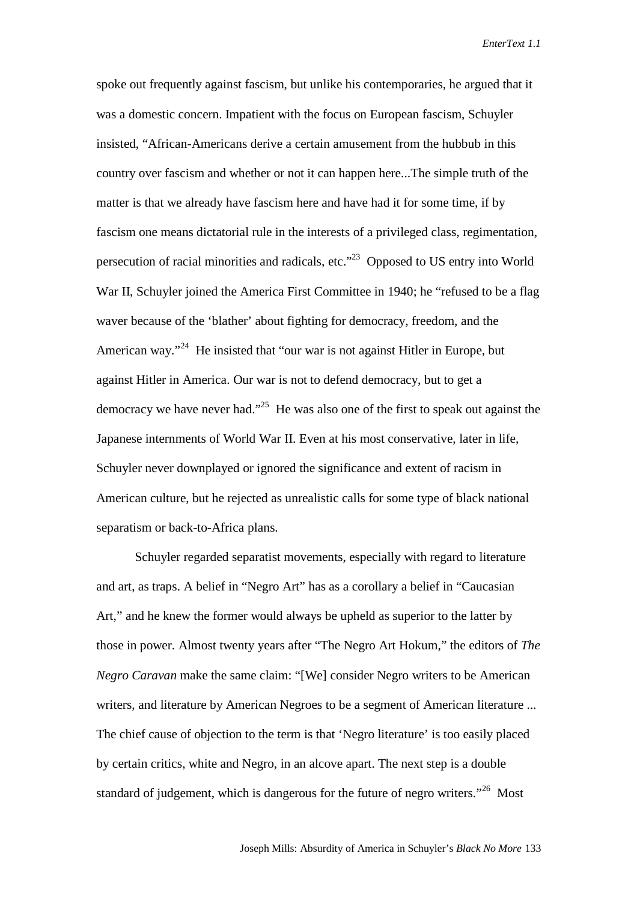spoke out frequently against fascism, but unlike his contemporaries, he argued that it was a domestic concern. Impatient with the focus on European fascism, Schuyler insisted, "African-Americans derive a certain amusement from the hubbub in this country over fascism and whether or not it can happen here...The simple truth of the matter is that we already have fascism here and have had it for some time, if by fascism one means dictatorial rule in the interests of a privileged class, regimentation, persecution of racial minorities and radicals, etc."23 Opposed to US entry into World War II, Schuyler joined the America First Committee in 1940; he "refused to be a flag waver because of the 'blather' about fighting for democracy, freedom, and the American way."<sup>24</sup> He insisted that "our war is not against Hitler in Europe, but against Hitler in America. Our war is not to defend democracy, but to get a democracy we have never had."<sup>25</sup> He was also one of the first to speak out against the Japanese internments of World War II. Even at his most conservative, later in life, Schuyler never downplayed or ignored the significance and extent of racism in American culture, but he rejected as unrealistic calls for some type of black national separatism or back-to-Africa plans.

Schuyler regarded separatist movements, especially with regard to literature and art, as traps. A belief in "Negro Art" has as a corollary a belief in "Caucasian Art," and he knew the former would always be upheld as superior to the latter by those in power. Almost twenty years after "The Negro Art Hokum," the editors of *The Negro Caravan* make the same claim: "[We] consider Negro writers to be American writers, and literature by American Negroes to be a segment of American literature ... The chief cause of objection to the term is that 'Negro literature' is too easily placed by certain critics, white and Negro, in an alcove apart. The next step is a double standard of judgement, which is dangerous for the future of negro writers."<sup>26</sup> Most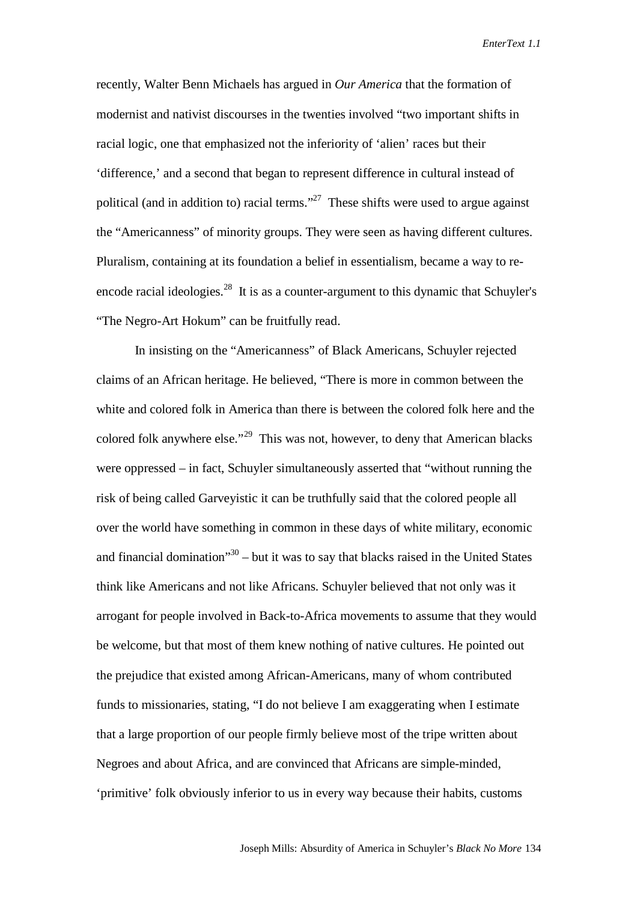recently, Walter Benn Michaels has argued in *Our America* that the formation of modernist and nativist discourses in the twenties involved "two important shifts in racial logic, one that emphasized not the inferiority of 'alien' races but their 'difference,' and a second that began to represent difference in cultural instead of political (and in addition to) racial terms."<sup>27</sup> These shifts were used to argue against the "Americanness" of minority groups. They were seen as having different cultures. Pluralism, containing at its foundation a belief in essentialism, became a way to reencode racial ideologies. $^{28}$  It is as a counter-argument to this dynamic that Schuyler's "The Negro-Art Hokum" can be fruitfully read.

In insisting on the "Americanness" of Black Americans, Schuyler rejected claims of an African heritage. He believed, "There is more in common between the white and colored folk in America than there is between the colored folk here and the colored folk anywhere else."29 This was not, however, to deny that American blacks were oppressed – in fact, Schuyler simultaneously asserted that "without running the risk of being called Garveyistic it can be truthfully said that the colored people all over the world have something in common in these days of white military, economic and financial domination $130 - b$ ut it was to say that blacks raised in the United States think like Americans and not like Africans. Schuyler believed that not only was it arrogant for people involved in Back-to-Africa movements to assume that they would be welcome, but that most of them knew nothing of native cultures. He pointed out the prejudice that existed among African-Americans, many of whom contributed funds to missionaries, stating, "I do not believe I am exaggerating when I estimate that a large proportion of our people firmly believe most of the tripe written about Negroes and about Africa, and are convinced that Africans are simple-minded, 'primitive' folk obviously inferior to us in every way because their habits, customs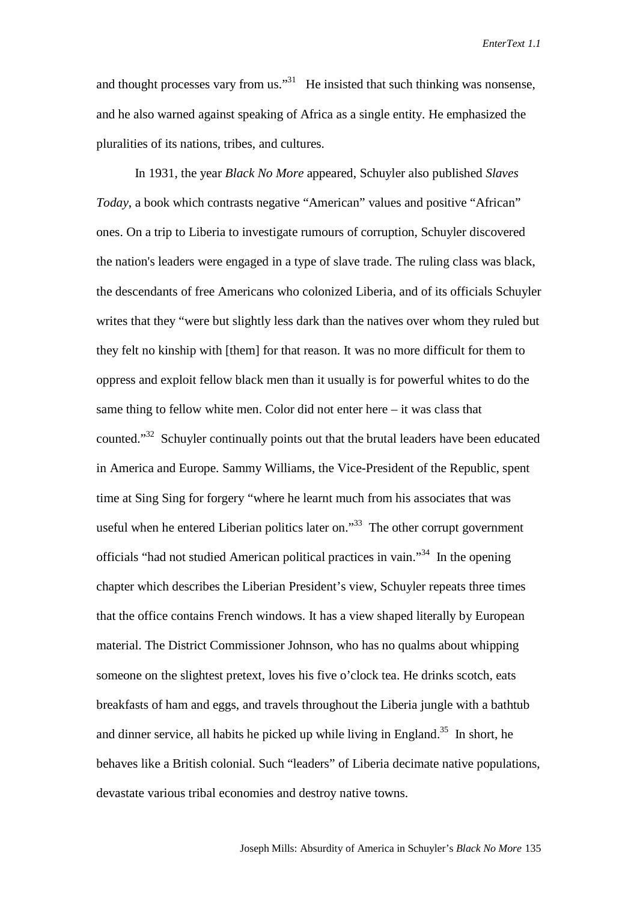and thought processes vary from us."<sup>31</sup> He insisted that such thinking was nonsense, and he also warned against speaking of Africa as a single entity. He emphasized the pluralities of its nations, tribes, and cultures.

In 1931, the year *Black No More* appeared, Schuyler also published *Slaves Today*, a book which contrasts negative "American" values and positive "African" ones. On a trip to Liberia to investigate rumours of corruption, Schuyler discovered the nation's leaders were engaged in a type of slave trade. The ruling class was black, the descendants of free Americans who colonized Liberia, and of its officials Schuyler writes that they "were but slightly less dark than the natives over whom they ruled but they felt no kinship with [them] for that reason. It was no more difficult for them to oppress and exploit fellow black men than it usually is for powerful whites to do the same thing to fellow white men. Color did not enter here – it was class that counted."32 Schuyler continually points out that the brutal leaders have been educated in America and Europe. Sammy Williams, the Vice-President of the Republic, spent time at Sing Sing for forgery "where he learnt much from his associates that was useful when he entered Liberian politics later on." $33$  The other corrupt government officials "had not studied American political practices in vain."34 In the opening chapter which describes the Liberian President's view, Schuyler repeats three times that the office contains French windows. It has a view shaped literally by European material. The District Commissioner Johnson, who has no qualms about whipping someone on the slightest pretext, loves his five o'clock tea. He drinks scotch, eats breakfasts of ham and eggs, and travels throughout the Liberia jungle with a bathtub and dinner service, all habits he picked up while living in England.<sup>35</sup> In short, he behaves like a British colonial. Such "leaders" of Liberia decimate native populations, devastate various tribal economies and destroy native towns.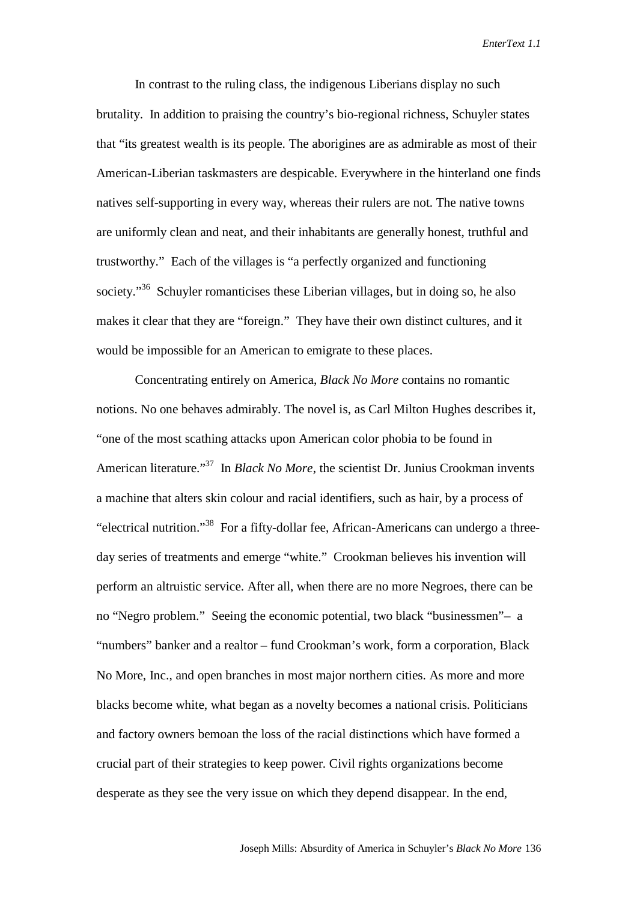In contrast to the ruling class, the indigenous Liberians display no such brutality. In addition to praising the country's bio-regional richness, Schuyler states that "its greatest wealth is its people. The aborigines are as admirable as most of their American-Liberian taskmasters are despicable. Everywhere in the hinterland one finds natives self-supporting in every way, whereas their rulers are not. The native towns are uniformly clean and neat, and their inhabitants are generally honest, truthful and trustworthy." Each of the villages is "a perfectly organized and functioning society."<sup>36</sup> Schuyler romanticises these Liberian villages, but in doing so, he also makes it clear that they are "foreign." They have their own distinct cultures, and it would be impossible for an American to emigrate to these places.

Concentrating entirely on America, *Black No More* contains no romantic notions. No one behaves admirably. The novel is, as Carl Milton Hughes describes it, "one of the most scathing attacks upon American color phobia to be found in American literature."37 In *Black No More*, the scientist Dr. Junius Crookman invents a machine that alters skin colour and racial identifiers, such as hair, by a process of "electrical nutrition."38 For a fifty-dollar fee, African-Americans can undergo a threeday series of treatments and emerge "white." Crookman believes his invention will perform an altruistic service. After all, when there are no more Negroes, there can be no "Negro problem." Seeing the economic potential, two black "businessmen"– a "numbers" banker and a realtor – fund Crookman's work, form a corporation, Black No More, Inc., and open branches in most major northern cities. As more and more blacks become white, what began as a novelty becomes a national crisis. Politicians and factory owners bemoan the loss of the racial distinctions which have formed a crucial part of their strategies to keep power. Civil rights organizations become desperate as they see the very issue on which they depend disappear. In the end,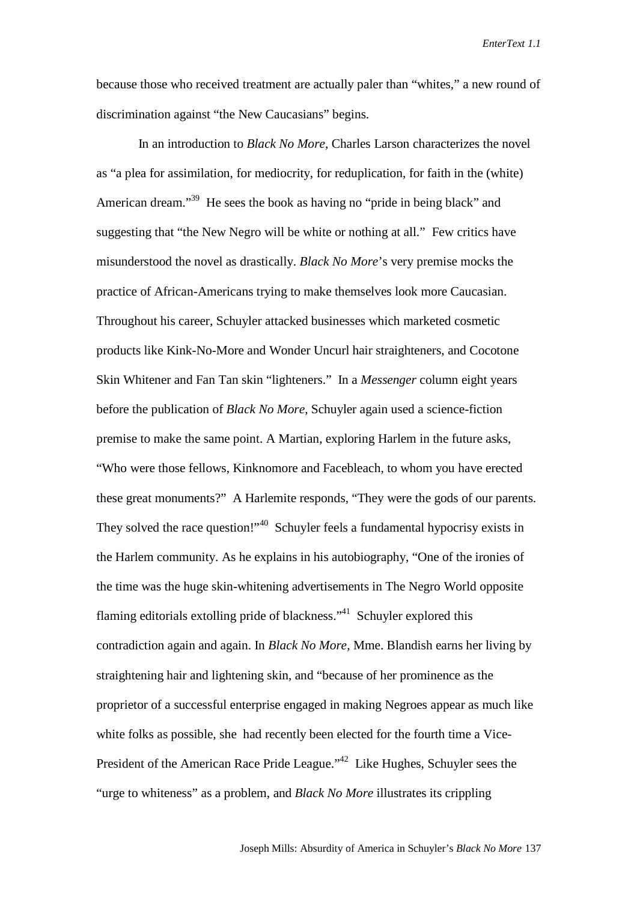because those who received treatment are actually paler than "whites," a new round of discrimination against "the New Caucasians" begins.

 In an introduction to *Black No More*, Charles Larson characterizes the novel as "a plea for assimilation, for mediocrity, for reduplication, for faith in the (white) American dream."<sup>39</sup> He sees the book as having no "pride in being black" and suggesting that "the New Negro will be white or nothing at all." Few critics have misunderstood the novel as drastically. *Black No More*'s very premise mocks the practice of African-Americans trying to make themselves look more Caucasian. Throughout his career, Schuyler attacked businesses which marketed cosmetic products like Kink-No-More and Wonder Uncurl hair straighteners, and Cocotone Skin Whitener and Fan Tan skin "lighteners." In a *Messenger* column eight years before the publication of *Black No More*, Schuyler again used a science-fiction premise to make the same point. A Martian, exploring Harlem in the future asks, "Who were those fellows, Kinknomore and Facebleach, to whom you have erected these great monuments?" A Harlemite responds, "They were the gods of our parents. They solved the race question!"<sup>40</sup> Schuyler feels a fundamental hypocrisy exists in the Harlem community. As he explains in his autobiography, "One of the ironies of the time was the huge skin-whitening advertisements in The Negro World opposite flaming editorials extolling pride of blackness."<sup>41</sup> Schuyler explored this contradiction again and again. In *Black No More*, Mme. Blandish earns her living by straightening hair and lightening skin, and "because of her prominence as the proprietor of a successful enterprise engaged in making Negroes appear as much like white folks as possible, she had recently been elected for the fourth time a Vice-President of the American Race Pride League."42 Like Hughes, Schuyler sees the "urge to whiteness" as a problem, and *Black No More* illustrates its crippling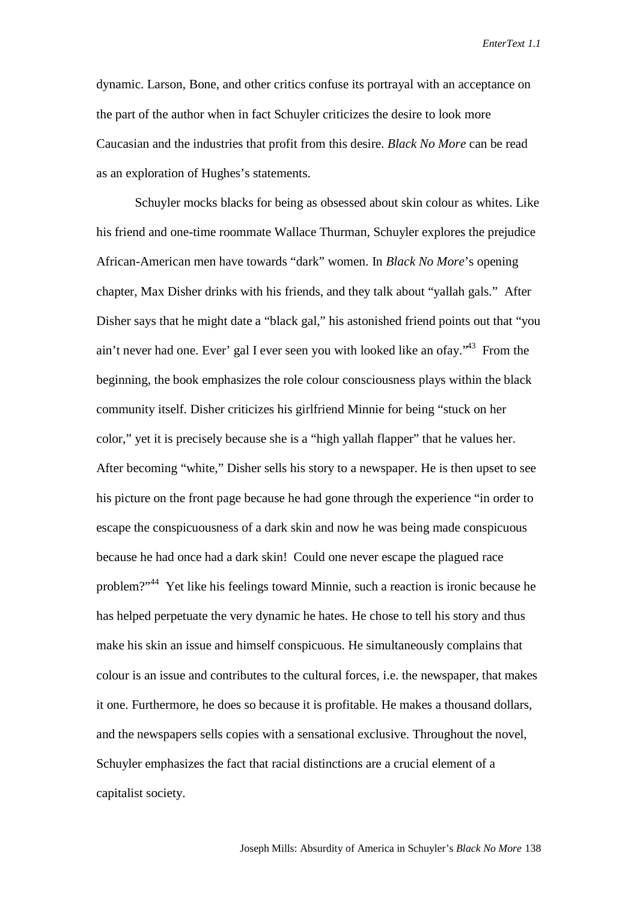dynamic. Larson, Bone, and other critics confuse its portrayal with an acceptance on the part of the author when in fact Schuyler criticizes the desire to look more Caucasian and the industries that profit from this desire. *Black No More* can be read as an exploration of Hughes's statements.

Schuyler mocks blacks for being as obsessed about skin colour as whites. Like his friend and one-time roommate Wallace Thurman, Schuyler explores the prejudice African-American men have towards "dark" women. In *Black No More*'s opening chapter, Max Disher drinks with his friends, and they talk about "yallah gals." After Disher says that he might date a "black gal," his astonished friend points out that "you ain't never had one. Ever' gal I ever seen you with looked like an ofay."43 From the beginning, the book emphasizes the role colour consciousness plays within the black community itself. Disher criticizes his girlfriend Minnie for being "stuck on her color," yet it is precisely because she is a "high yallah flapper" that he values her. After becoming "white," Disher sells his story to a newspaper. He is then upset to see his picture on the front page because he had gone through the experience "in order to escape the conspicuousness of a dark skin and now he was being made conspicuous because he had once had a dark skin! Could one never escape the plagued race problem?"44 Yet like his feelings toward Minnie, such a reaction is ironic because he has helped perpetuate the very dynamic he hates. He chose to tell his story and thus make his skin an issue and himself conspicuous. He simultaneously complains that colour is an issue and contributes to the cultural forces, i.e. the newspaper, that makes it one. Furthermore, he does so because it is profitable. He makes a thousand dollars, and the newspapers sells copies with a sensational exclusive. Throughout the novel, Schuyler emphasizes the fact that racial distinctions are a crucial element of a capitalist society.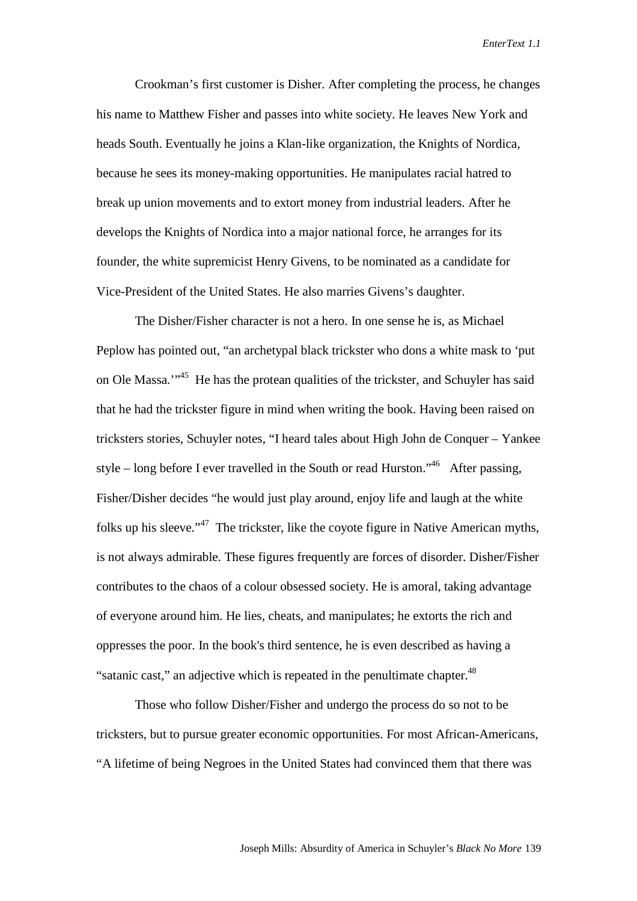Crookman's first customer is Disher. After completing the process, he changes his name to Matthew Fisher and passes into white society. He leaves New York and heads South. Eventually he joins a Klan-like organization, the Knights of Nordica, because he sees its money-making opportunities. He manipulates racial hatred to break up union movements and to extort money from industrial leaders. After he develops the Knights of Nordica into a major national force, he arranges for its founder, the white supremicist Henry Givens, to be nominated as a candidate for Vice-President of the United States. He also marries Givens's daughter.

The Disher/Fisher character is not a hero. In one sense he is, as Michael Peplow has pointed out, "an archetypal black trickster who dons a white mask to 'put on Ole Massa."<sup>45</sup> He has the protean qualities of the trickster, and Schuyler has said that he had the trickster figure in mind when writing the book. Having been raised on tricksters stories, Schuyler notes, "I heard tales about High John de Conquer – Yankee style – long before I ever travelled in the South or read Hurston."46 After passing, Fisher/Disher decides "he would just play around, enjoy life and laugh at the white folks up his sleeve."<sup>47</sup> The trickster, like the coyote figure in Native American myths, is not always admirable. These figures frequently are forces of disorder. Disher/Fisher contributes to the chaos of a colour obsessed society. He is amoral, taking advantage of everyone around him. He lies, cheats, and manipulates; he extorts the rich and oppresses the poor. In the book's third sentence, he is even described as having a "satanic cast," an adjective which is repeated in the penultimate chapter.<sup>48</sup>

Those who follow Disher/Fisher and undergo the process do so not to be tricksters, but to pursue greater economic opportunities. For most African-Americans, "A lifetime of being Negroes in the United States had convinced them that there was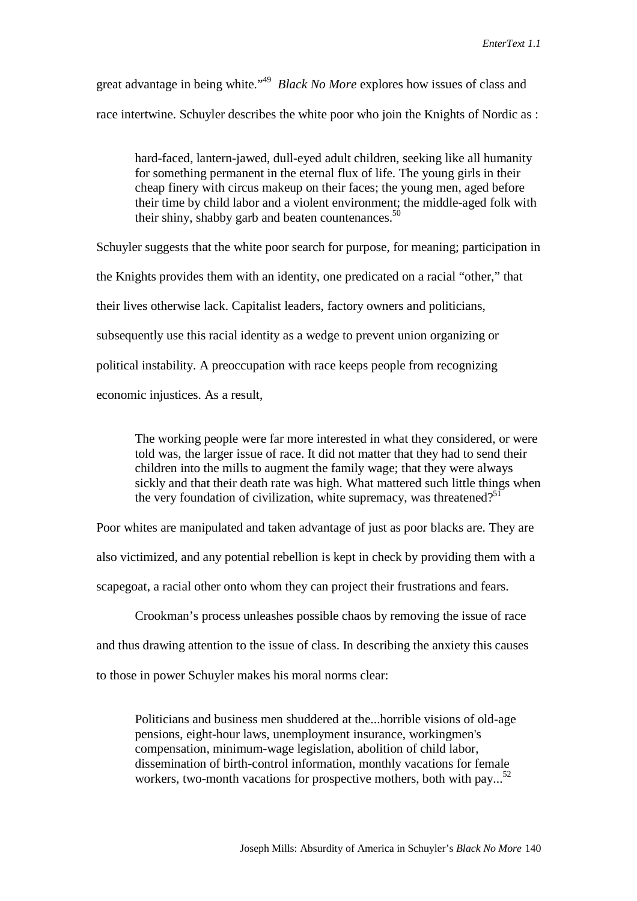great advantage in being white."49 *Black No More* explores how issues of class and race intertwine. Schuyler describes the white poor who join the Knights of Nordic as :

hard-faced, lantern-jawed, dull-eyed adult children, seeking like all humanity for something permanent in the eternal flux of life. The young girls in their cheap finery with circus makeup on their faces; the young men, aged before their time by child labor and a violent environment; the middle-aged folk with their shiny, shabby garb and beaten countenances. $50$ 

Schuyler suggests that the white poor search for purpose, for meaning; participation in the Knights provides them with an identity, one predicated on a racial "other," that their lives otherwise lack. Capitalist leaders, factory owners and politicians, subsequently use this racial identity as a wedge to prevent union organizing or political instability. A preoccupation with race keeps people from recognizing economic injustices. As a result,

The working people were far more interested in what they considered, or were told was, the larger issue of race. It did not matter that they had to send their children into the mills to augment the family wage; that they were always sickly and that their death rate was high. What mattered such little things when the very foundation of civilization, white supremacy, was threatened?<sup>51</sup>

Poor whites are manipulated and taken advantage of just as poor blacks are. They are also victimized, and any potential rebellion is kept in check by providing them with a scapegoat, a racial other onto whom they can project their frustrations and fears.

Crookman's process unleashes possible chaos by removing the issue of race and thus drawing attention to the issue of class. In describing the anxiety this causes to those in power Schuyler makes his moral norms clear:

Politicians and business men shuddered at the...horrible visions of old-age pensions, eight-hour laws, unemployment insurance, workingmen's compensation, minimum-wage legislation, abolition of child labor, dissemination of birth-control information, monthly vacations for female workers, two-month vacations for prospective mothers, both with pay...<sup>52</sup>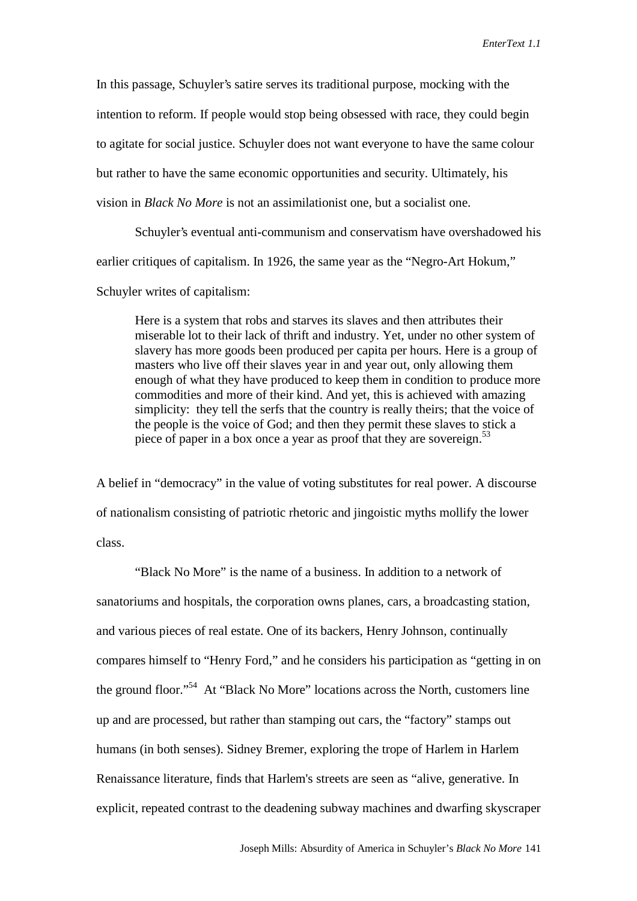In this passage, Schuyler's satire serves its traditional purpose, mocking with the intention to reform. If people would stop being obsessed with race, they could begin to agitate for social justice. Schuyler does not want everyone to have the same colour but rather to have the same economic opportunities and security. Ultimately, his vision in *Black No More* is not an assimilationist one, but a socialist one.

Schuyler's eventual anti-communism and conservatism have overshadowed his earlier critiques of capitalism. In 1926, the same year as the "Negro-Art Hokum," Schuyler writes of capitalism:

Here is a system that robs and starves its slaves and then attributes their miserable lot to their lack of thrift and industry. Yet, under no other system of slavery has more goods been produced per capita per hours. Here is a group of masters who live off their slaves year in and year out, only allowing them enough of what they have produced to keep them in condition to produce more commodities and more of their kind. And yet, this is achieved with amazing simplicity: they tell the serfs that the country is really theirs; that the voice of the people is the voice of God; and then they permit these slaves to stick a piece of paper in a box once a year as proof that they are sovereign.<sup>53</sup>

A belief in "democracy" in the value of voting substitutes for real power. A discourse of nationalism consisting of patriotic rhetoric and jingoistic myths mollify the lower class.

"Black No More" is the name of a business. In addition to a network of sanatoriums and hospitals, the corporation owns planes, cars, a broadcasting station, and various pieces of real estate. One of its backers, Henry Johnson, continually compares himself to "Henry Ford," and he considers his participation as "getting in on the ground floor."54 At "Black No More" locations across the North, customers line up and are processed, but rather than stamping out cars, the "factory" stamps out humans (in both senses). Sidney Bremer, exploring the trope of Harlem in Harlem Renaissance literature, finds that Harlem's streets are seen as "alive, generative. In explicit, repeated contrast to the deadening subway machines and dwarfing skyscraper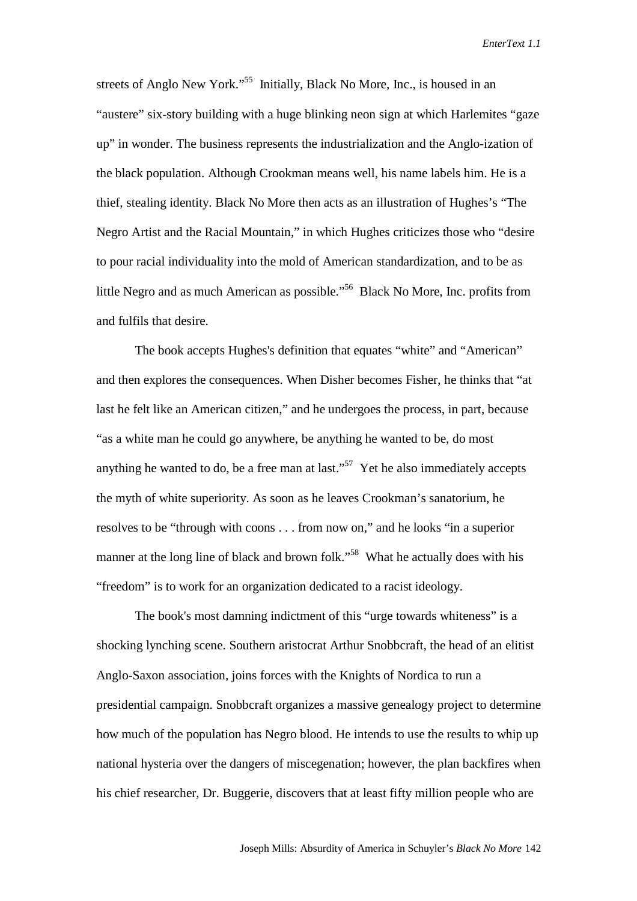streets of Anglo New York."<sup>55</sup> Initially, Black No More, Inc., is housed in an "austere" six-story building with a huge blinking neon sign at which Harlemites "gaze up" in wonder. The business represents the industrialization and the Anglo-ization of the black population. Although Crookman means well, his name labels him. He is a thief, stealing identity. Black No More then acts as an illustration of Hughes's "The Negro Artist and the Racial Mountain," in which Hughes criticizes those who "desire to pour racial individuality into the mold of American standardization, and to be as little Negro and as much American as possible."56 Black No More, Inc. profits from and fulfils that desire.

The book accepts Hughes's definition that equates "white" and "American" and then explores the consequences. When Disher becomes Fisher, he thinks that "at last he felt like an American citizen," and he undergoes the process, in part, because "as a white man he could go anywhere, be anything he wanted to be, do most anything he wanted to do, be a free man at last."<sup>57</sup> Yet he also immediately accepts the myth of white superiority. As soon as he leaves Crookman's sanatorium, he resolves to be "through with coons . . . from now on," and he looks "in a superior manner at the long line of black and brown folk."<sup>58</sup> What he actually does with his "freedom" is to work for an organization dedicated to a racist ideology.

The book's most damning indictment of this "urge towards whiteness" is a shocking lynching scene. Southern aristocrat Arthur Snobbcraft, the head of an elitist Anglo-Saxon association, joins forces with the Knights of Nordica to run a presidential campaign. Snobbcraft organizes a massive genealogy project to determine how much of the population has Negro blood. He intends to use the results to whip up national hysteria over the dangers of miscegenation; however, the plan backfires when his chief researcher, Dr. Buggerie, discovers that at least fifty million people who are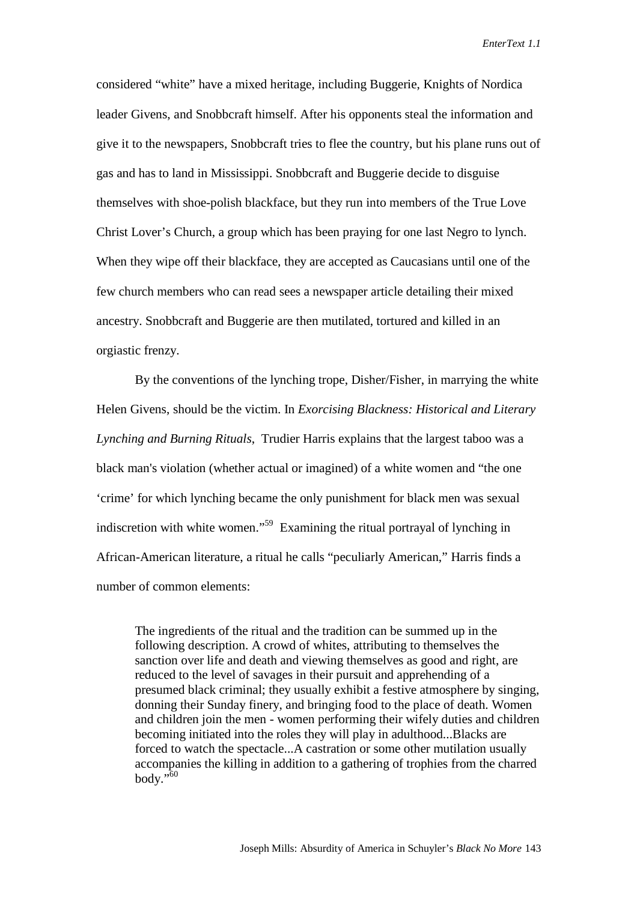considered "white" have a mixed heritage, including Buggerie, Knights of Nordica leader Givens, and Snobbcraft himself. After his opponents steal the information and give it to the newspapers, Snobbcraft tries to flee the country, but his plane runs out of gas and has to land in Mississippi. Snobbcraft and Buggerie decide to disguise themselves with shoe-polish blackface, but they run into members of the True Love Christ Lover's Church, a group which has been praying for one last Negro to lynch. When they wipe off their blackface, they are accepted as Caucasians until one of the few church members who can read sees a newspaper article detailing their mixed ancestry. Snobbcraft and Buggerie are then mutilated, tortured and killed in an orgiastic frenzy.

By the conventions of the lynching trope, Disher/Fisher, in marrying the white Helen Givens, should be the victim. In *Exorcising Blackness: Historical and Literary Lynching and Burning Rituals*, Trudier Harris explains that the largest taboo was a black man's violation (whether actual or imagined) of a white women and "the one 'crime' for which lynching became the only punishment for black men was sexual indiscretion with white women."59 Examining the ritual portrayal of lynching in African-American literature, a ritual he calls "peculiarly American," Harris finds a number of common elements:

The ingredients of the ritual and the tradition can be summed up in the following description. A crowd of whites, attributing to themselves the sanction over life and death and viewing themselves as good and right, are reduced to the level of savages in their pursuit and apprehending of a presumed black criminal; they usually exhibit a festive atmosphere by singing, donning their Sunday finery, and bringing food to the place of death. Women and children join the men - women performing their wifely duties and children becoming initiated into the roles they will play in adulthood...Blacks are forced to watch the spectacle...A castration or some other mutilation usually accompanies the killing in addition to a gathering of trophies from the charred body." $60$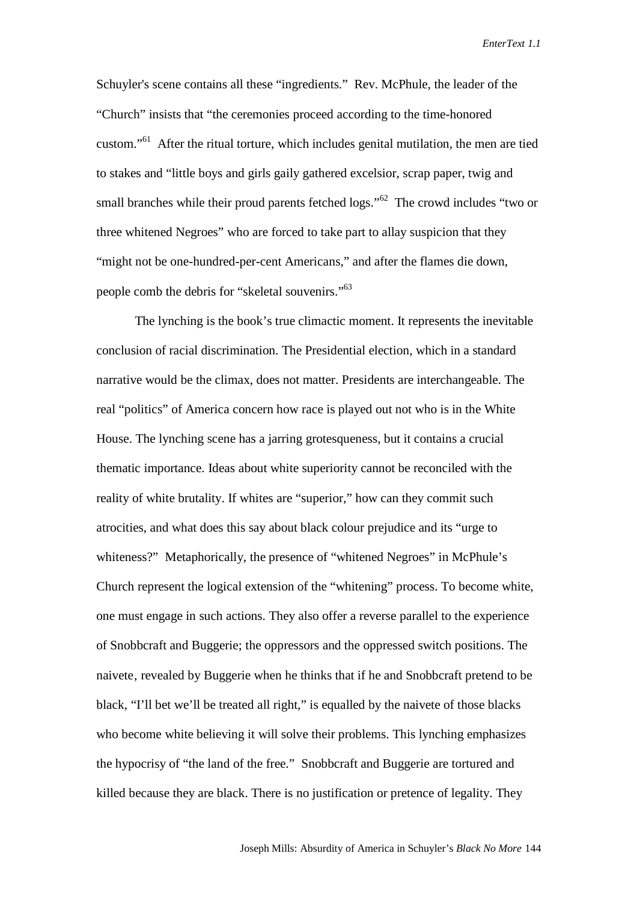Schuyler's scene contains all these "ingredients." Rev. McPhule, the leader of the "Church" insists that "the ceremonies proceed according to the time-honored custom."61 After the ritual torture, which includes genital mutilation, the men are tied to stakes and "little boys and girls gaily gathered excelsior, scrap paper, twig and small branches while their proud parents fetched logs."<sup>62</sup> The crowd includes "two or three whitened Negroes" who are forced to take part to allay suspicion that they "might not be one-hundred-per-cent Americans," and after the flames die down, people comb the debris for "skeletal souvenirs."<sup>63</sup>

The lynching is the book's true climactic moment. It represents the inevitable conclusion of racial discrimination. The Presidential election, which in a standard narrative would be the climax, does not matter. Presidents are interchangeable. The real "politics" of America concern how race is played out not who is in the White House. The lynching scene has a jarring grotesqueness, but it contains a crucial thematic importance. Ideas about white superiority cannot be reconciled with the reality of white brutality. If whites are "superior," how can they commit such atrocities, and what does this say about black colour prejudice and its "urge to whiteness?" Metaphorically, the presence of "whitened Negroes" in McPhule's Church represent the logical extension of the "whitening" process. To become white, one must engage in such actions. They also offer a reverse parallel to the experience of Snobbcraft and Buggerie; the oppressors and the oppressed switch positions. The naivete, revealed by Buggerie when he thinks that if he and Snobbcraft pretend to be black, "I'll bet we'll be treated all right," is equalled by the naivete of those blacks who become white believing it will solve their problems. This lynching emphasizes the hypocrisy of "the land of the free." Snobbcraft and Buggerie are tortured and killed because they are black. There is no justification or pretence of legality. They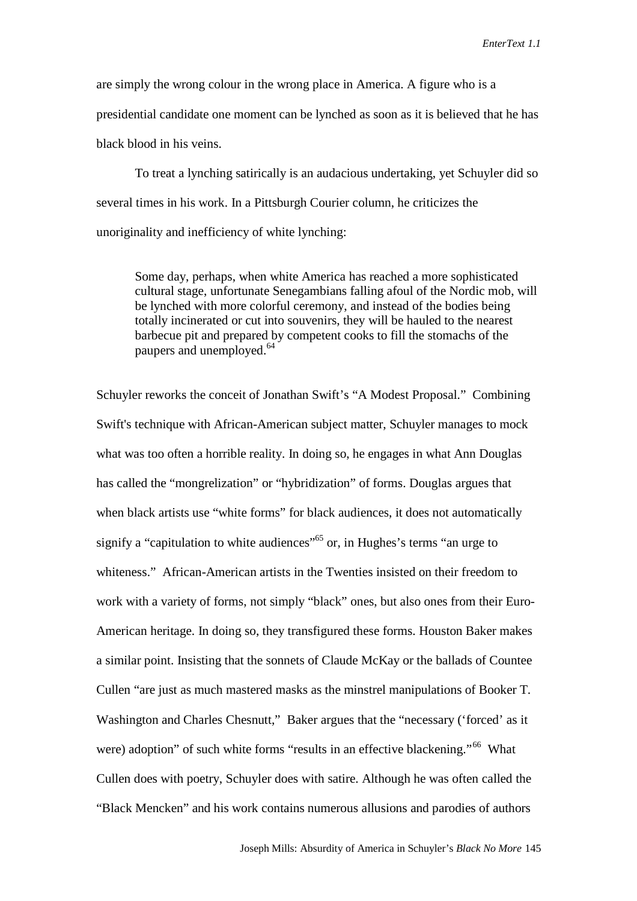are simply the wrong colour in the wrong place in America. A figure who is a presidential candidate one moment can be lynched as soon as it is believed that he has black blood in his veins.

To treat a lynching satirically is an audacious undertaking, yet Schuyler did so several times in his work. In a Pittsburgh Courier column, he criticizes the unoriginality and inefficiency of white lynching:

Some day, perhaps, when white America has reached a more sophisticated cultural stage, unfortunate Senegambians falling afoul of the Nordic mob, will be lynched with more colorful ceremony, and instead of the bodies being totally incinerated or cut into souvenirs, they will be hauled to the nearest barbecue pit and prepared by competent cooks to fill the stomachs of the paupers and unemployed.<sup>64</sup>

Schuyler reworks the conceit of Jonathan Swift's "A Modest Proposal." Combining Swift's technique with African-American subject matter, Schuyler manages to mock what was too often a horrible reality. In doing so, he engages in what Ann Douglas has called the "mongrelization" or "hybridization" of forms. Douglas argues that when black artists use "white forms" for black audiences, it does not automatically signify a "capitulation to white audiences"<sup>65</sup> or, in Hughes's terms "an urge to whiteness." African-American artists in the Twenties insisted on their freedom to work with a variety of forms, not simply "black" ones, but also ones from their Euro-American heritage. In doing so, they transfigured these forms. Houston Baker makes a similar point. Insisting that the sonnets of Claude McKay or the ballads of Countee Cullen "are just as much mastered masks as the minstrel manipulations of Booker T. Washington and Charles Chesnutt," Baker argues that the "necessary ('forced' as it were) adoption" of such white forms "results in an effective blackening."<sup>66</sup> What Cullen does with poetry, Schuyler does with satire. Although he was often called the "Black Mencken" and his work contains numerous allusions and parodies of authors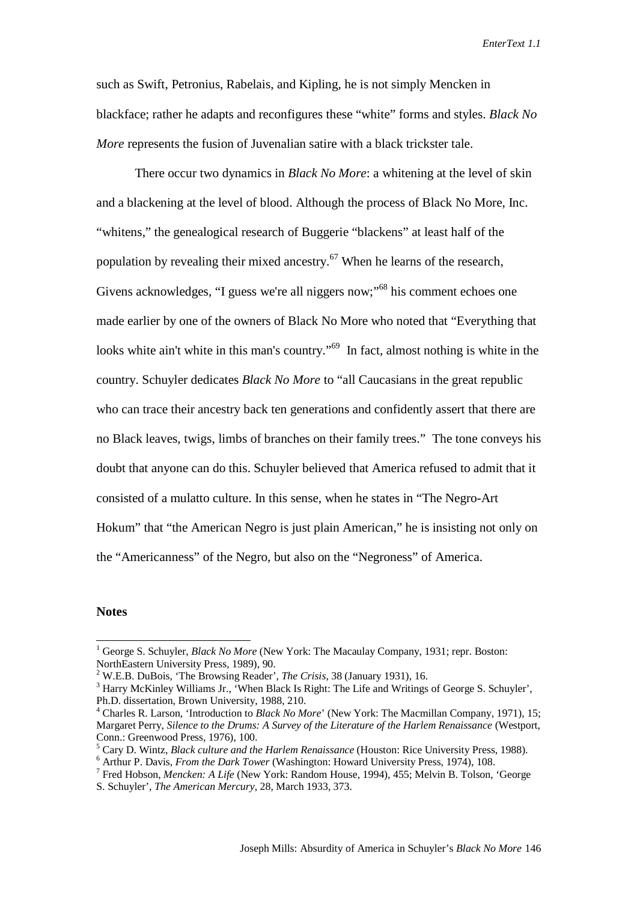such as Swift, Petronius, Rabelais, and Kipling, he is not simply Mencken in blackface; rather he adapts and reconfigures these "white" forms and styles. *Black No More* represents the fusion of Juvenalian satire with a black trickster tale.

There occur two dynamics in *Black No More*: a whitening at the level of skin and a blackening at the level of blood. Although the process of Black No More, Inc. "whitens," the genealogical research of Buggerie "blackens" at least half of the population by revealing their mixed ancestry.<sup>67</sup> When he learns of the research, Givens acknowledges, "I guess we're all niggers now;"68 his comment echoes one made earlier by one of the owners of Black No More who noted that "Everything that looks white ain't white in this man's country."<sup>69</sup> In fact, almost nothing is white in the country. Schuyler dedicates *Black No More* to "all Caucasians in the great republic who can trace their ancestry back ten generations and confidently assert that there are no Black leaves, twigs, limbs of branches on their family trees." The tone conveys his doubt that anyone can do this. Schuyler believed that America refused to admit that it consisted of a mulatto culture. In this sense, when he states in "The Negro-Art Hokum" that "the American Negro is just plain American," he is insisting not only on the "Americanness" of the Negro, but also on the "Negroness" of America.

## **Notes**

 $\overline{a}$ 

<sup>&</sup>lt;sup>1</sup> George S. Schuyler, *Black No More* (New York: The Macaulay Company, 1931; repr. Boston: NorthEastern University Press, 1989), 90.

<sup>&</sup>lt;sup>2</sup> W.E.B. DuBois, 'The Browsing Reader', *The Crisis*, 38 (January 1931), 16. 3 Horry Makinlay Williams In When Block Is Bight: The Life and Writings

<sup>&</sup>lt;sup>3</sup> Harry McKinley Williams Jr., 'When Black Is Right: The Life and Writings of George S. Schuyler', Ph.D. dissertation, Brown University, 1988, 210.

<sup>&</sup>lt;sup>4</sup> Charles R. Larson, 'Introduction to *Black No More*' (New York: The Macmillan Company, 1971), 15; Margaret Perry, *Silence to the Drums: A Survey of the Literature of the Harlem Renaissance* (Westport, Conn.: Greenwood Press, 1976), 100.

<sup>&</sup>lt;sup>5</sup> Cary D. Wintz, *Black culture and the Harlem Renaissance* (Houston: Rice University Press, 1988).  $\frac{6}{5}$  Arthur B. Devis, *Exam the Dark Tewar (Weshington: Howard University Press*, 1974), 108

<sup>&</sup>lt;sup>6</sup> Arthur P. Davis, *From the Dark Tower* (Washington: Howard University Press, 1974), 108.

Fred Hobson, *Mencken: A Life* (New York: Random House, 1994), 455; Melvin B. Tolson, 'George S. Schuyler', *The American Mercury*, 28, March 1933, 373.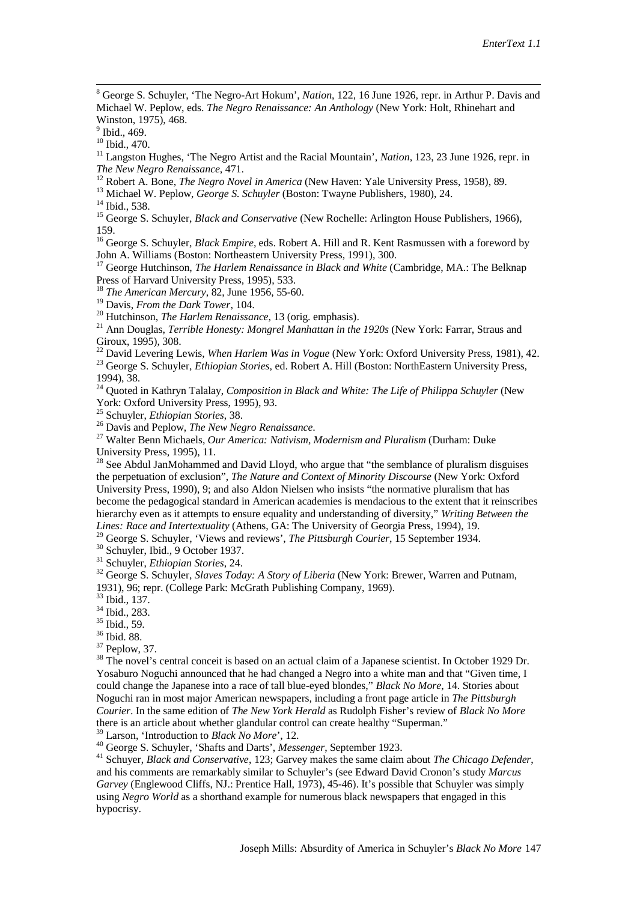8 George S. Schuyler, 'The Negro-Art Hokum', *Nation*, 122, 16 June 1926, repr. in Arthur P. Davis and Michael W. Peplow, eds. *The Negro Renaissance: An Anthology* (New York: Holt, Rhinehart and Winston, 1975), 468.

<sup>9</sup> Ibid., 469.

<sup>10</sup> Ibid., 470.

<sup>11</sup> Langston Hughes, 'The Negro Artist and the Racial Mountain', *Nation*, 123, 23 June 1926, repr. in The New Negro Renaissance, 471.<br><sup>12</sup> Robert A. Bone, *The Negro Novel in America* (New Haven: Yale University Press, 1958), 89.<br><sup>13</sup> Michael W. Peplow, *George S. Schuyler* (Boston: Twayne Publishers, 1980), 24.<br><sup>14</sup> Ibid.

<sup>15</sup> George S. Schuyler, *Black and Conservative* (New Rochelle: Arlington House Publishers, 1966), 159.

16 George S. Schuyler, *Black Empire*, eds. Robert A. Hill and R. Kent Rasmussen with a foreword by John A. Williams (Boston: Northeastern University Press, 1991), 300.

<sup>17</sup> George Hutchinson, *The Harlem Renaissance in Black and White* (Cambridge, MA.: The Belknap Press of Harvard University Press, 1995), 533.

<sup>18</sup> *The American Mercury*, 82, June 1956, 55-60.<br><sup>19</sup> Davis, *From the Dark Tower*, 104.

<sup>20</sup> Hutchinson, *The Harlem Renaissance*, 13 (orig. emphasis). <sup>21</sup> Ann Douglas, *Terrible Honesty: Mongrel Manhattan in the 1920s* (New York: Farrar, Straus and Giroux, 1995), 308.

<sup>22</sup> David Levering Lewis, *When Harlem Was in Vogue* (New York: Oxford University Press, 1981), 42.<br><sup>23</sup> George S. Schuyler, *Ethiopian Stories*, ed. Robert A. Hill (Boston: NorthEastern University Press, 1994), 38.

<sup>24</sup> Ouoted in Kathryn Talalay, *Composition in Black and White: The Life of Philippa Schuyler* (New York: Oxford University Press, 1995), 93.<br><sup>25</sup> Schuyler, *Ethiopian Stories*, 38.

<sup>26</sup> Davis and Peplow, *The New Negro Renaissance*.<br><sup>27</sup> Walter Benn Michaels, *Our America: Nativism, Modernism and Pluralism* (Durham: Duke University Press, 1995), 11.

 $28$  See Abdul JanMohammed and David Lloyd, who argue that "the semblance of pluralism disguises" the perpetuation of exclusion", *The Nature and Context of Minority Discourse* (New York: Oxford University Press, 1990), 9; and also Aldon Nielsen who insists "the normative pluralism that has become the pedagogical standard in American academies is mendacious to the extent that it reinscribes hierarchy even as it attempts to ensure equality and understanding of diversity," *Writing Between the Lines: Race and Intertextuality* (Athens, GA: The University of Georgia Press, 1994), 19.

<sup>29</sup> George S. Schuyler, 'Views and reviews', *The Pittsburgh Courier*, 15 September 1934.<br><sup>30</sup> Schuyler, Ibid., 9 October 1937.<br><sup>31</sup> Schuvler, *Ethiopian Stories*, 24.

<sup>32</sup> George S. Schuyler, *Slaves Today: A Story of Liberia* (New York: Brewer, Warren and Putnam, 1931), 96; repr. (College Park: McGrath Publishing Company, 1969).

33 Ibid., 137.

34 Ibid., 283.

<sup>35</sup> Ibid., 59.

36 Ibid. 88.

37 Peplow, 37.

<sup>38</sup> The novel's central conceit is based on an actual claim of a Japanese scientist. In October 1929 Dr. Yosaburo Noguchi announced that he had changed a Negro into a white man and that "Given time, I could change the Japanese into a race of tall blue-eyed blondes," *Black No More*, 14. Stories about Noguchi ran in most major American newspapers, including a front page article in *The Pittsburgh Courier*. In the same edition of *The New York Herald* as Rudolph Fisher's review of *Black No More* there is an article about whether glandular control can create healthy "Superman."<br><sup>39</sup> Larson, 'Introduction to *Black No More*', 12.

<sup>40</sup> George S. Schuyler, 'Shafts and Darts', *Messenger*, September 1923.<br><sup>41</sup> Schuver, *Black and Conservative*, 123; Garvey makes the same claim about *The Chicago Defender*, and his comments are remarkably similar to Schuyler's (see Edward David Cronon's study *Marcus Garvey* (Englewood Cliffs, NJ.: Prentice Hall, 1973), 45-46). It's possible that Schuyler was simply using *Negro World* as a shorthand example for numerous black newspapers that engaged in this hypocrisy.